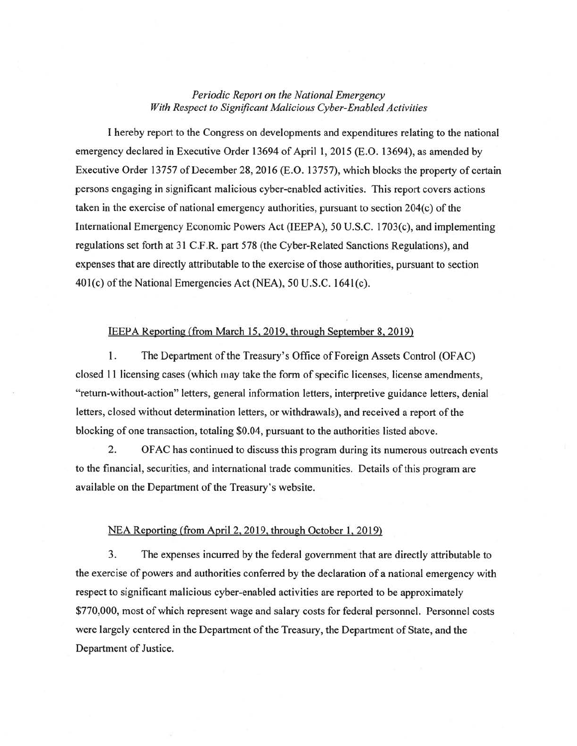## *Periodic Report on the National Emergency With Respect to Significant Malicious Cyber-Enabled Activities*

I hereby report to the Congress on developments and expenditures relating to the national emergency declared in Executive Order 13694 of April 1, 2015 (E.O. 13694), as amended by Executive Order 13757 of December 28, 2016 (E.O. 13757), which blocks the property of certain persons engaging in significant malicious cyber-enabled activities. This report covers actions taken in the exercise of national emergency authorities, pursuant to section  $204(c)$  of the International Emergency Economic Powers Act (IEEPA), 50 U.S.C. 1703(c), and implementing regulations set forth at 31 C.F .R. part 578 (the Cyber-Related Sanctions Regulations), and expenses that are directly attributable to the exercise of those authorities, pursuant to section 401(c) of the National Emergencies Act (NEA), 50 U.S.C. 1641(c).

## IEEPA Reporting (from March 15,2019. through September 8, 2019)

1. The Department of the Treasury's Office of Foreign Assets Control (OFAC) closed 11 licensing cases (which may take the form of specific licenses, license amendments, "return-without-action" letters, general information letters, interpretive guidance letters, denial letters, closed without determination letters, or withdrawals), and received a report of the blocking of one transaction, totaling \$0.04, pursuant to the authorities listed above.

2. OF AC has continued to discuss this program during its numerous outreach events to the financial, securities, and international trade communities. Details of this program are available on the Department of the Treasury's website.

## NEA Reporting (from April2, 2019, through October 1, 2019)

3. The expenses incurred by the federal government that are directly attributable to the exercise of powers and authorities conferred by the declaration of a national emergency with respect to significant malicious cyber-enabled activities are reported to be approximately \$770,000, most of which represent wage and salary costs for federal personnel. Personnel costs were largely centered in the Department of the Treasury, the Department of State, and the Department of Justice.